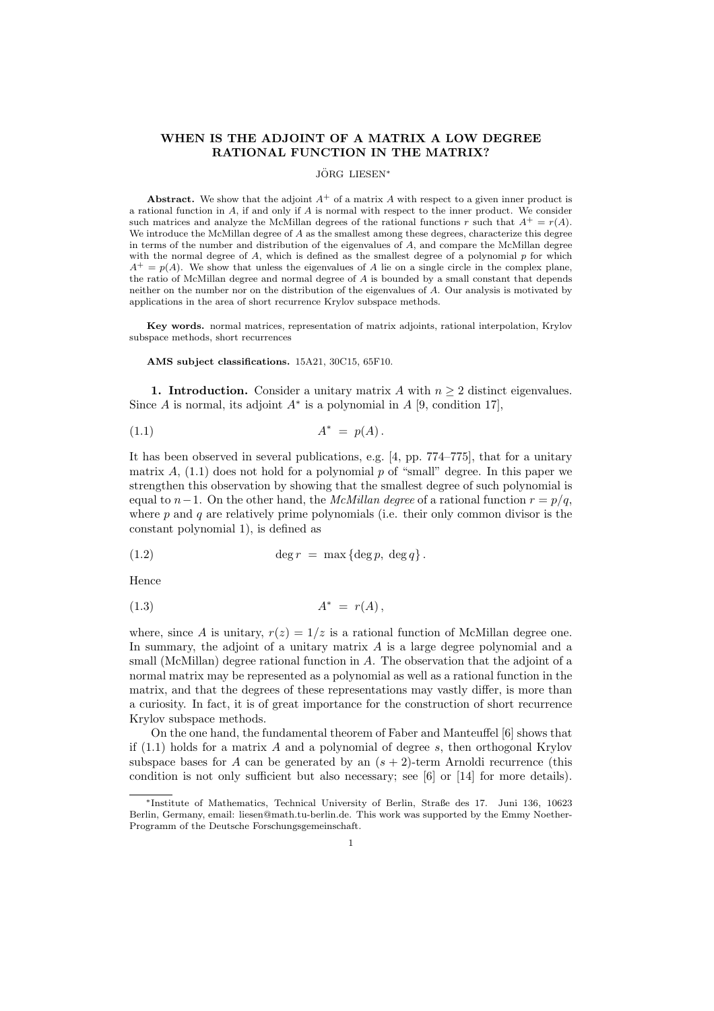# WHEN IS THE ADJOINT OF A MATRIX A LOW DEGREE RATIONAL FUNCTION IN THE MATRIX?

## JÖRG LIESEN\*

Abstract. We show that the adjoint  $A^+$  of a matrix A with respect to a given inner product is a rational function in  $A$ , if and only if  $A$  is normal with respect to the inner product. We consider such matrices and analyze the McMillan degrees of the rational functions r such that  $A^+ = r(A)$ . We introduce the McMillan degree of A as the smallest among these degrees, characterize this degree in terms of the number and distribution of the eigenvalues of A, and compare the McMillan degree with the normal degree of  $A$ , which is defined as the smallest degree of a polynomial  $p$  for which  $A^+=p(A)$ . We show that unless the eigenvalues of A lie on a single circle in the complex plane, the ratio of McMillan degree and normal degree of A is bounded by a small constant that depends neither on the number nor on the distribution of the eigenvalues of A. Our analysis is motivated by applications in the area of short recurrence Krylov subspace methods.

Key words. normal matrices, representation of matrix adjoints, rational interpolation, Krylov subspace methods, short recurrences

AMS subject classifications. 15A21, 30C15, 65F10.

1. Introduction. Consider a unitary matrix A with  $n \geq 2$  distinct eigenvalues. Since A is normal, its adjoint  $A^*$  is a polynomial in A [9, condition 17],

$$
(1.1) \t\t A^* = p(A).
$$

It has been observed in several publications, e.g. [4, pp. 774–775], that for a unitary matrix A,  $(1.1)$  does not hold for a polynomial p of "small" degree. In this paper we strengthen this observation by showing that the smallest degree of such polynomial is equal to n−1. On the other hand, the McMillan degree of a rational function  $r = p/q$ , where  $p$  and  $q$  are relatively prime polynomials (i.e. their only common divisor is the constant polynomial 1), is defined as

(1.2) 
$$
\deg r = \max \{ \deg p, \deg q \}.
$$

Hence

$$
(1.3) \t\t A^* = r(A),
$$

where, since A is unitary,  $r(z) = 1/z$  is a rational function of McMillan degree one. In summary, the adjoint of a unitary matrix A is a large degree polynomial and a small (McMillan) degree rational function in A. The observation that the adjoint of a normal matrix may be represented as a polynomial as well as a rational function in the matrix, and that the degrees of these representations may vastly differ, is more than a curiosity. In fact, it is of great importance for the construction of short recurrence Krylov subspace methods.

On the one hand, the fundamental theorem of Faber and Manteuffel [6] shows that if  $(1.1)$  holds for a matrix A and a polynomial of degree s, then orthogonal Krylov subspace bases for A can be generated by an  $(s + 2)$ -term Arnoldi recurrence (this condition is not only sufficient but also necessary; see [6] or [14] for more details).

<sup>∗</sup>Institute of Mathematics, Technical University of Berlin, Straße des 17. Juni 136, 10623 Berlin, Germany, email: liesen@math.tu-berlin.de. This work was supported by the Emmy Noether-Programm of the Deutsche Forschungsgemeinschaft.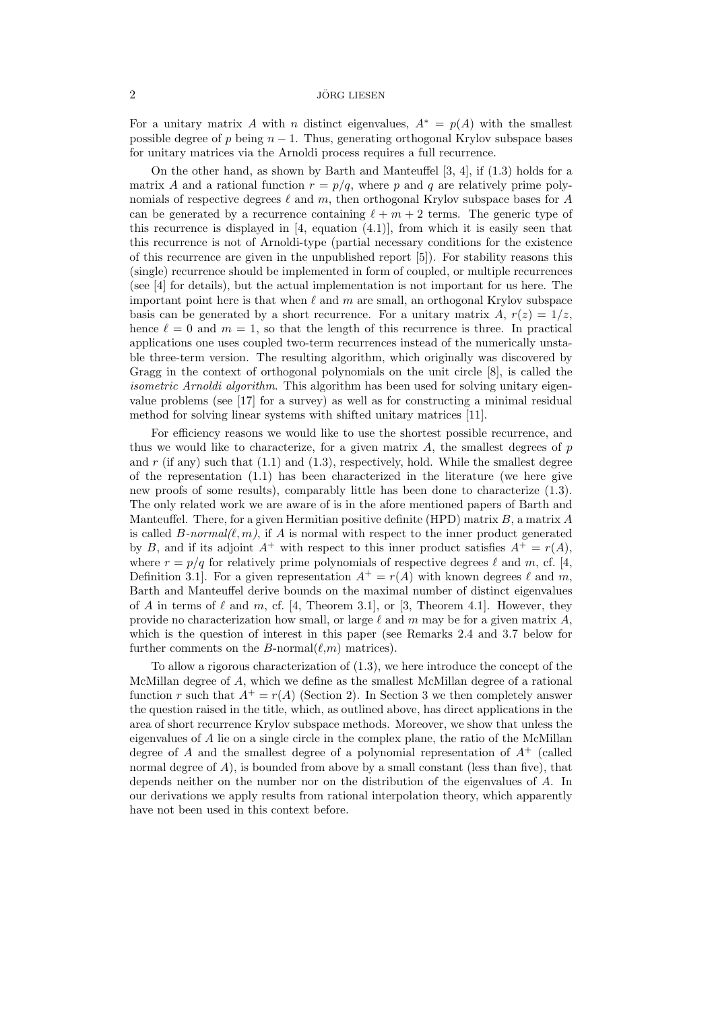For a unitary matrix A with n distinct eigenvalues,  $A^* = p(A)$  with the smallest possible degree of p being  $n - 1$ . Thus, generating orthogonal Krylov subspace bases for unitary matrices via the Arnoldi process requires a full recurrence.

On the other hand, as shown by Barth and Manteuffel [3, 4], if (1.3) holds for a matrix A and a rational function  $r = p/q$ , where p and q are relatively prime polynomials of respective degrees  $\ell$  and m, then orthogonal Krylov subspace bases for A can be generated by a recurrence containing  $\ell + m + 2$  terms. The generic type of this recurrence is displayed in  $[4, \text{ equation } (4.1)]$ , from which it is easily seen that this recurrence is not of Arnoldi-type (partial necessary conditions for the existence of this recurrence are given in the unpublished report [5]). For stability reasons this (single) recurrence should be implemented in form of coupled, or multiple recurrences (see [4] for details), but the actual implementation is not important for us here. The important point here is that when  $\ell$  and m are small, an orthogonal Krylov subspace basis can be generated by a short recurrence. For a unitary matrix A,  $r(z) = 1/z$ , hence  $\ell = 0$  and  $m = 1$ , so that the length of this recurrence is three. In practical applications one uses coupled two-term recurrences instead of the numerically unstable three-term version. The resulting algorithm, which originally was discovered by Gragg in the context of orthogonal polynomials on the unit circle [8], is called the isometric Arnoldi algorithm. This algorithm has been used for solving unitary eigenvalue problems (see [17] for a survey) as well as for constructing a minimal residual method for solving linear systems with shifted unitary matrices [11].

For efficiency reasons we would like to use the shortest possible recurrence, and thus we would like to characterize, for a given matrix  $A$ , the smallest degrees of  $p$ and r (if any) such that  $(1.1)$  and  $(1.3)$ , respectively, hold. While the smallest degree of the representation  $(1.1)$  has been characterized in the literature (we here give new proofs of some results), comparably little has been done to characterize (1.3). The only related work we are aware of is in the afore mentioned papers of Barth and Manteuffel. There, for a given Hermitian positive definite (HPD) matrix  $B$ , a matrix  $A$ is called  $B\text{-}normal(\ell, m)$ , if A is normal with respect to the inner product generated by B, and if its adjoint  $A^+$  with respect to this inner product satisfies  $A^+ = r(A)$ , where  $r = p/q$  for relatively prime polynomials of respective degrees  $\ell$  and m, cf. [4, Definition 3.1. For a given representation  $A^+ = r(A)$  with known degrees  $\ell$  and m, Barth and Manteuffel derive bounds on the maximal number of distinct eigenvalues of A in terms of  $\ell$  and m, cf. [4, Theorem 3.1], or [3, Theorem 4.1]. However, they provide no characterization how small, or large  $\ell$  and m may be for a given matrix A, which is the question of interest in this paper (see Remarks 2.4 and 3.7 below for further comments on the B-normal $(\ell,m)$  matrices).

To allow a rigorous characterization of (1.3), we here introduce the concept of the McMillan degree of A, which we define as the smallest McMillan degree of a rational function r such that  $A^+ = r(A)$  (Section 2). In Section 3 we then completely answer the question raised in the title, which, as outlined above, has direct applications in the area of short recurrence Krylov subspace methods. Moreover, we show that unless the eigenvalues of A lie on a single circle in the complex plane, the ratio of the McMillan degree of A and the smallest degree of a polynomial representation of  $A^+$  (called normal degree of A), is bounded from above by a small constant (less than five), that depends neither on the number nor on the distribution of the eigenvalues of A. In our derivations we apply results from rational interpolation theory, which apparently have not been used in this context before.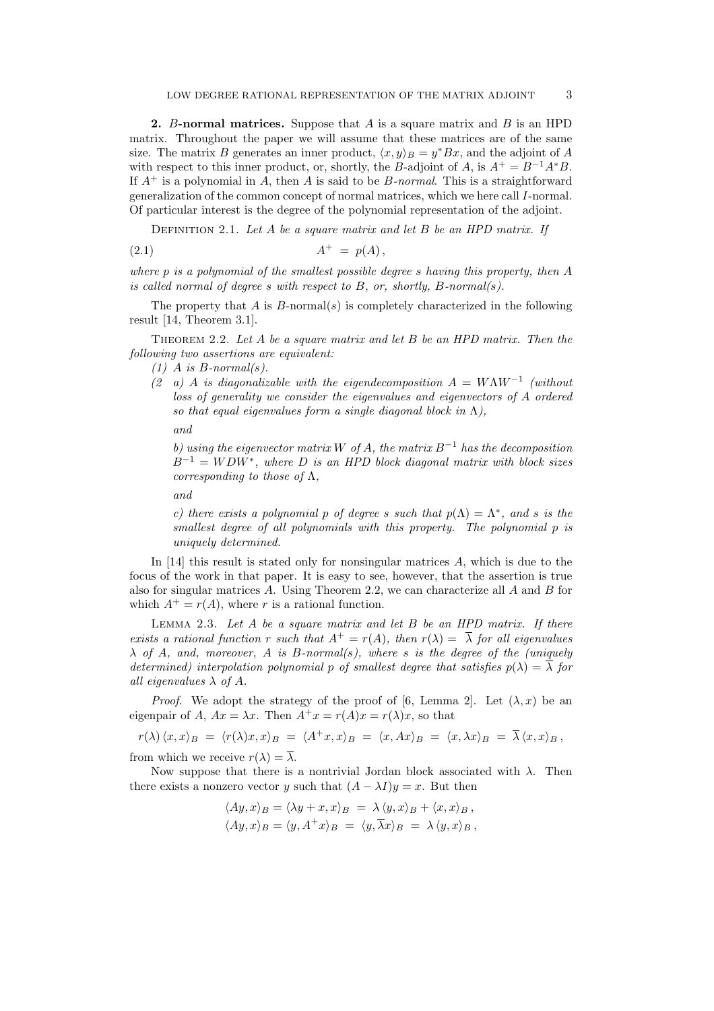2. B-normal matrices. Suppose that  $A$  is a square matrix and  $B$  is an HPD matrix. Throughout the paper we will assume that these matrices are of the same size. The matrix B generates an inner product,  $\langle x, y \rangle_B = y^*Bx$ , and the adjoint of A with respect to this inner product, or, shortly, the B-adjoint of A, is  $A^+ = B^{-1}A^*B$ . If  $A^+$  is a polynomial in A, then A is said to be B-normal. This is a straightforward generalization of the common concept of normal matrices, which we here call I-normal. Of particular interest is the degree of the polynomial representation of the adjoint.

DEFINITION 2.1. Let  $A$  be a square matrix and let  $B$  be an HPD matrix. If

$$
(2.1) \t\t A+ = p(A),
$$

where p is a polynomial of the smallest possible degree s having this property, then A is called normal of degree s with respect to  $B$ , or, shortly,  $B$ -normal(s).

The property that  $A$  is  $B$ -normal $(s)$  is completely characterized in the following result [14, Theorem 3.1].

THEOREM 2.2. Let A be a square matrix and let B be an HPD matrix. Then the following two assertions are equivalent:

 $(1)$  A is B-normal(s).

(2 a) A is diagonalizable with the eigendecomposition  $A = W\Lambda W^{-1}$  (without loss of generality we consider the eigenvalues and eigenvectors of A ordered so that equal eigenvalues form a single diagonal block in  $\Lambda$ ).

and

b) using the eigenvector matrix W of A, the matrix  $B^{-1}$  has the decomposition  $B^{-1} = WDW^*$ , where D is an HPD block diagonal matrix with block sizes corresponding to those of  $\Lambda$ ,

and

c) there exists a polynomial p of degree s such that  $p(\Lambda) = \Lambda^*$ , and s is the smallest degree of all polynomials with this property. The polynomial p is uniquely determined.

In  $[14]$  this result is stated only for nonsingular matrices A, which is due to the focus of the work in that paper. It is easy to see, however, that the assertion is true also for singular matrices A. Using Theorem 2.2, we can characterize all A and B for which  $A^+ = r(A)$ , where r is a rational function.

LEMMA 2.3. Let  $A$  be a square matrix and let  $B$  be an HPD matrix. If there exists a rational function r such that  $A^+ = r(A)$ , then  $r(\lambda) = \overline{\lambda}$  for all eigenvalues  $\lambda$  of A, and, moreover, A is B-normal(s), where s is the degree of the (uniquely determined) interpolation polynomial p of smallest degree that satisfies  $p(\lambda) = \overline{\lambda}$  for all eigenvalues  $\lambda$  of A.

*Proof.* We adopt the strategy of the proof of [6, Lemma 2]. Let  $(\lambda, x)$  be an eigenpair of A,  $Ax = \lambda x$ . Then  $A^+x = r(A)x = r(\lambda)x$ , so that

$$
r(\lambda) \langle x, x \rangle_B = \langle r(\lambda)x, x \rangle_B = \langle A^+x, x \rangle_B = \langle x, Ax \rangle_B = \langle x, \lambda x \rangle_B = \overline{\lambda} \langle x, x \rangle_B,
$$

from which we receive  $r(\lambda) = \overline{\lambda}$ .

Now suppose that there is a nontrivial Jordan block associated with  $\lambda$ . Then there exists a nonzero vector y such that  $(A - \lambda I)y = x$ . But then

$$
\langle Ay, x \rangle_B = \langle \lambda y + x, x \rangle_B = \lambda \langle y, x \rangle_B + \langle x, x \rangle_B,
$$
  

$$
\langle Ay, x \rangle_B = \langle y, A^+ x \rangle_B = \langle y, \overline{\lambda} x \rangle_B = \lambda \langle y, x \rangle_B,
$$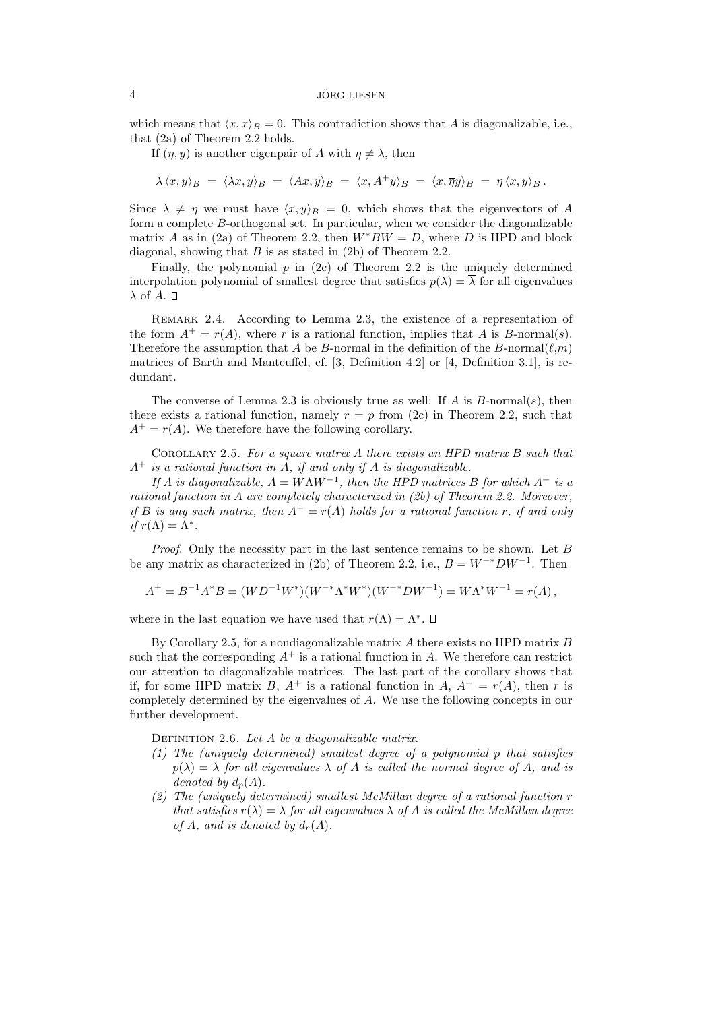### $10RG$  LIESEN

which means that  $\langle x, x \rangle_B = 0$ . This contradiction shows that A is diagonalizable, i.e., that (2a) of Theorem 2.2 holds.

If  $(\eta, y)$  is another eigenpair of A with  $\eta \neq \lambda$ , then

$$
\lambda \langle x, y \rangle_B = \langle \lambda x, y \rangle_B = \langle Ax, y \rangle_B = \langle x, A^+y \rangle_B = \langle x, \overline{\eta}y \rangle_B = \eta \langle x, y \rangle_B.
$$

Since  $\lambda \neq \eta$  we must have  $\langle x, y \rangle_B = 0$ , which shows that the eigenvectors of A form a complete B-orthogonal set. In particular, when we consider the diagonalizable matrix A as in (2a) of Theorem 2.2, then  $W^*BW = D$ , where D is HPD and block diagonal, showing that  $B$  is as stated in (2b) of Theorem 2.2.

Finally, the polynomial  $p$  in (2c) of Theorem 2.2 is the uniquely determined interpolation polynomial of smallest degree that satisfies  $p(\lambda) = \overline{\lambda}$  for all eigenvalues  $\lambda$  of A.  $\square$ 

REMARK 2.4. According to Lemma 2.3, the existence of a representation of the form  $A^+ = r(A)$ , where r is a rational function, implies that A is B-normal(s). Therefore the assumption that A be B-normal in the definition of the B-normal $(\ell,m)$ matrices of Barth and Manteuffel, cf. [3, Definition 4.2] or [4, Definition 3.1], is redundant.

The converse of Lemma 2.3 is obviously true as well: If A is  $B$ -normal(s), then there exists a rational function, namely  $r = p$  from (2c) in Theorem 2.2, such that  $A^+ = r(A)$ . We therefore have the following corollary.

COROLLARY 2.5. For a square matrix  $A$  there exists an HPD matrix  $B$  such that  $A^+$  is a rational function in A, if and only if A is diagonalizable.

If A is diagonalizable,  $A = W\Lambda W^{-1}$ , then the HPD matrices B for which  $A^+$  is a rational function in A are completely characterized in (2b) of Theorem 2.2. Moreover, if B is any such matrix, then  $A^+ = r(A)$  holds for a rational function r, if and only if  $r(\Lambda) = \Lambda^*$ .

Proof. Only the necessity part in the last sentence remains to be shown. Let B be any matrix as characterized in (2b) of Theorem 2.2, i.e.,  $B = W^{-*}DW^{-1}$ . Then

$$
A^+ = B^{-1}A^*B = (WD^{-1}W^*)(W^{-*}\Lambda^*W^*)(W^{-*}DW^{-1}) = W\Lambda^*W^{-1} = r(A),
$$

where in the last equation we have used that  $r(\Lambda) = \Lambda^*$ .

By Corollary 2.5, for a nondiagonalizable matrix  $A$  there exists no HPD matrix  $B$ such that the corresponding  $A^+$  is a rational function in A. We therefore can restrict our attention to diagonalizable matrices. The last part of the corollary shows that if, for some HPD matrix B,  $A^+$  is a rational function in A,  $A^+ = r(A)$ , then r is completely determined by the eigenvalues of A. We use the following concepts in our further development.

DEFINITION 2.6. Let  $A$  be a diagonalizable matrix.

- (1) The (uniquely determined) smallest degree of a polynomial p that satisfies  $p(\lambda) = \overline{\lambda}$  for all eigenvalues  $\lambda$  of A is called the normal degree of A, and is denoted by  $d_n(A)$ .
- (2) The (uniquely determined) smallest McMillan degree of a rational function r that satisfies  $r(\lambda) = \overline{\lambda}$  for all eigenvalues  $\lambda$  of A is called the McMillan degree of A, and is denoted by  $d_r(A)$ .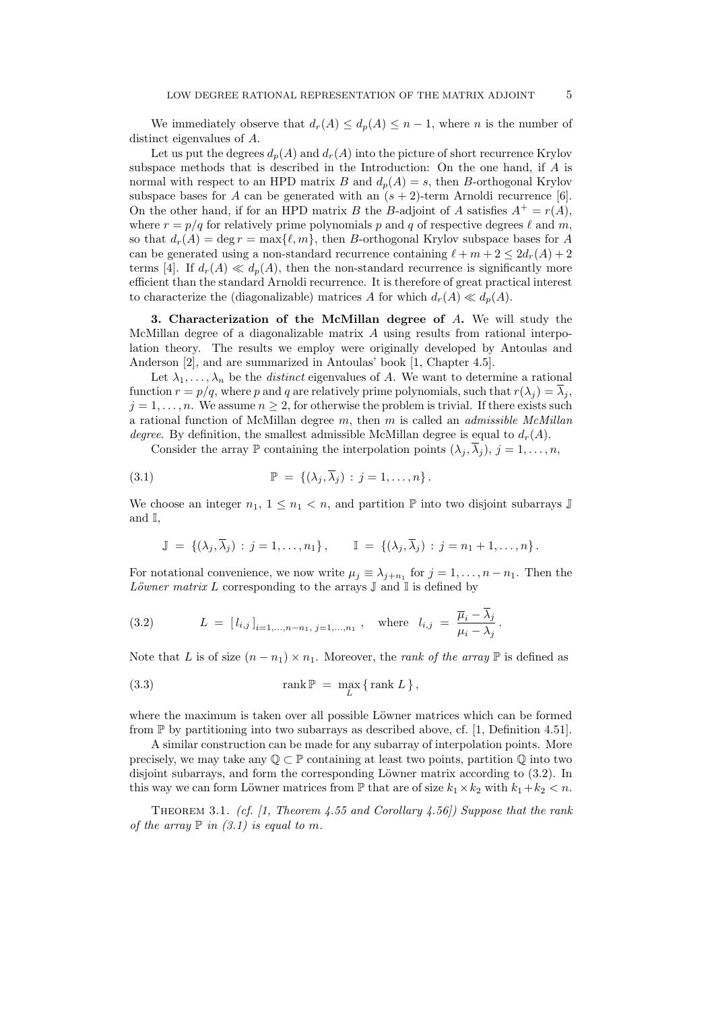We immediately observe that  $d_r(A) \leq d_p(A) \leq n-1$ , where *n* is the number of distinct eigenvalues of A.

Let us put the degrees  $d_n(A)$  and  $d_r(A)$  into the picture of short recurrence Krylov subspace methods that is described in the Introduction: On the one hand, if A is normal with respect to an HPD matrix B and  $d_p(A) = s$ , then B-orthogonal Krylov subspace bases for A can be generated with an  $(s + 2)$ -term Arnoldi recurrence [6]. On the other hand, if for an HPD matrix B the B-adjoint of A satisfies  $A^+ = r(A)$ , where  $r = p/q$  for relatively prime polynomials p and q of respective degrees  $\ell$  and m, so that  $d_r(A) = \deg r = \max\{\ell, m\}$ , then B-orthogonal Krylov subspace bases for A can be generated using a non-standard recurrence containing  $\ell + m + 2 \leq 2d_r(A) + 2$ terms [4]. If  $d_r(A) \ll d_p(A)$ , then the non-standard recurrence is significantly more efficient than the standard Arnoldi recurrence. It is therefore of great practical interest to characterize the (diagonalizable) matrices A for which  $d_r(A) \ll d_p(A)$ .

3. Characterization of the McMillan degree of A. We will study the McMillan degree of a diagonalizable matrix A using results from rational interpolation theory. The results we employ were originally developed by Antoulas and Anderson [2], and are summarized in Antoulas' book [1, Chapter 4.5].

Let  $\lambda_1, \ldots, \lambda_n$  be the *distinct* eigenvalues of A. We want to determine a rational function  $r = p/q$ , where p and q are relatively prime polynomials, such that  $r(\lambda_j) = \overline{\lambda}_j$ ,  $j = 1, \ldots, n$ . We assume  $n \geq 2$ , for otherwise the problem is trivial. If there exists such a rational function of McMillan degree  $m$ , then  $m$  is called an *admissible McMillan* degree. By definition, the smallest admissible McMillan degree is equal to  $d_r(A)$ .

Consider the array  $\mathbb P$  containing the interpolation points  $(\lambda_j, \overline{\lambda}_j), j = 1, \ldots, n$ ,

(3.1) P = {(λ<sup>j</sup> , λ<sup>j</sup> ) : j = 1, . . . , n} .

We choose an integer  $n_1$ ,  $1 \leq n_1 < n$ , and partition P into two disjoint subarrays J and I,

$$
\mathbb{J} = \{(\lambda_j, \overline{\lambda}_j) : j = 1, \dots, n_1\}, \qquad \mathbb{I} = \{(\lambda_j, \overline{\lambda}_j) : j = n_1 + 1, \dots, n\}.
$$

For notational convenience, we now write  $\mu_j \equiv \lambda_{j+n_1}$  for  $j = 1, \ldots, n-n_1$ . Then the Löwner matrix L corresponding to the arrays  $\mathbb J$  and  $\mathbb I$  is defined by

(3.2) 
$$
L = [l_{i,j}]_{i=1,...,n-n_1, j=1,...,n_1}, \text{ where } l_{i,j} = \frac{\overline{\mu}_i - \overline{\lambda}_j}{\mu_i - \lambda_j}.
$$

Note that L is of size  $(n - n_1) \times n_1$ . Moreover, the *rank of the array* P is defined as

(3.3) 
$$
\operatorname{rank} \mathbb{P} = \max_{L} \{ \operatorname{rank} L \},
$$

where the maximum is taken over all possible Löwner matrices which can be formed from  $\mathbb P$  by partitioning into two subarrays as described above, cf. [1, Definition 4.51].

A similar construction can be made for any subarray of interpolation points. More precisely, we may take any  $\mathbb{Q} \subset \mathbb{P}$  containing at least two points, partition  $\mathbb{Q}$  into two disjoint subarrays, and form the corresponding Löwner matrix according to  $(3.2)$ . In this way we can form Löwner matrices from  $\mathbb P$  that are of size  $k_1 \times k_2$  with  $k_1+k_2 < n$ .

THEOREM 3.1. (cf. [1, Theorem 4.55 and Corollary 4.56]) Suppose that the rank of the array  $\mathbb P$  in (3.1) is equal to m.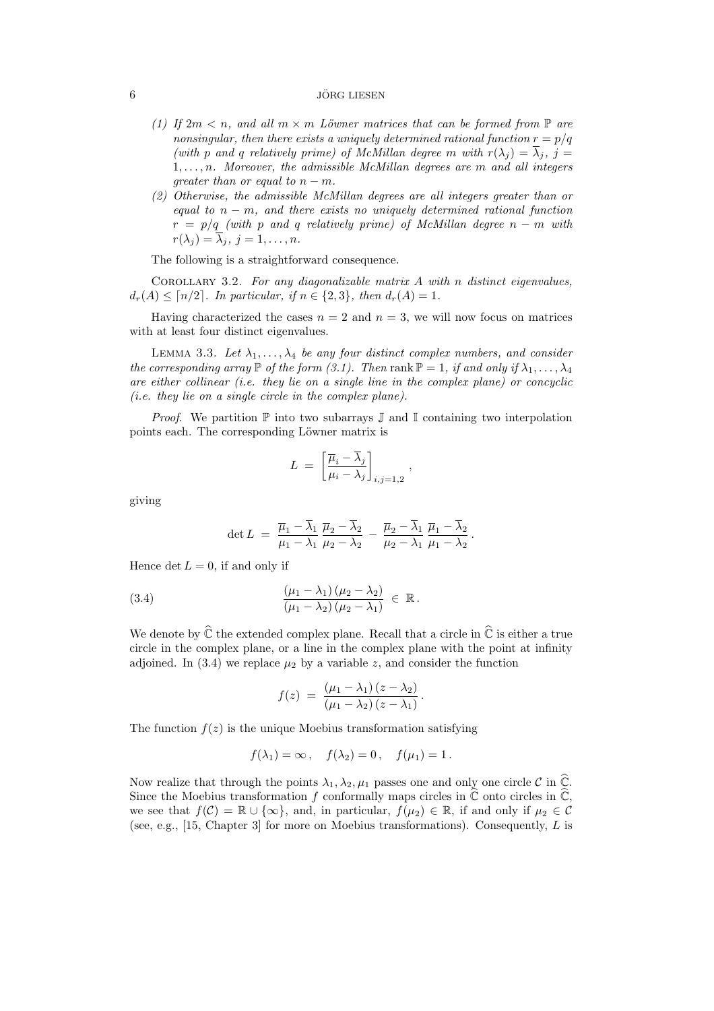### $\overline{6}$  JÖRG LIESEN

- (1) If  $2m < n$ , and all  $m \times m$  Löwner matrices that can be formed from  $\mathbb P$  are nonsingular, then there exists a uniquely determined rational function  $r = p/q$ (with p and q relatively prime) of McMillan degree m with  $r(\lambda_i) = \overline{\lambda}_i$ , j =  $1, \ldots, n$ . Moreover, the admissible McMillan degrees are m and all integers qreater than or equal to  $n - m$ .
- (2) Otherwise, the admissible McMillan degrees are all integers greater than or equal to  $n - m$ , and there exists no uniquely determined rational function  $r = p/q$  (with p and q relatively prime) of McMillan degree  $n - m$  with  $r(\lambda_j) = \lambda_j, j = 1, \ldots, n.$

The following is a straightforward consequence.

COROLLARY 3.2. For any diagonalizable matrix  $A$  with n distinct eigenvalues,  $d_r(A) \leq \lceil n/2 \rceil$ . In particular, if  $n \in \{2,3\}$ , then  $d_r(A) = 1$ .

Having characterized the cases  $n = 2$  and  $n = 3$ , we will now focus on matrices with at least four distinct eigenvalues.

LEMMA 3.3. Let  $\lambda_1, \ldots, \lambda_4$  be any four distinct complex numbers, and consider the corresponding array  $\mathbb P$  of the form (3.1). Then rank  $\mathbb P = 1$ , if and only if  $\lambda_1, \ldots, \lambda_4$ are either collinear (i.e. they lie on a single line in the complex plane) or concyclic (i.e. they lie on a single circle in the complex plane).

*Proof.* We partition  $\mathbb P$  into two subarrays  $\mathbb J$  and  $\mathbb I$  containing two interpolation points each. The corresponding Löwner matrix is

$$
L = \left[\frac{\overline{\mu}_i - \overline{\lambda}_j}{\mu_i - \lambda_j}\right]_{i,j=1,2},
$$

giving

$$
\det L = \frac{\overline{\mu}_1 - \overline{\lambda}_1}{\mu_1 - \lambda_1} \frac{\overline{\mu}_2 - \overline{\lambda}_2}{\mu_2 - \lambda_2} - \frac{\overline{\mu}_2 - \overline{\lambda}_1}{\mu_2 - \lambda_1} \frac{\overline{\mu}_1 - \overline{\lambda}_2}{\mu_1 - \lambda_2}.
$$

Hence det  $L = 0$ , if and only if

(3.4) 
$$
\frac{(\mu_1 - \lambda_1)(\mu_2 - \lambda_2)}{(\mu_1 - \lambda_2)(\mu_2 - \lambda_1)} \in \mathbb{R}.
$$

We denote by  $\widehat{\mathbb{C}}$  the extended complex plane. Recall that a circle in  $\widehat{\mathbb{C}}$  is either a true circle in the complex plane, or a line in the complex plane with the point at infinity adjoined. In (3.4) we replace  $\mu_2$  by a variable z, and consider the function

$$
f(z) = \frac{(\mu_1 - \lambda_1)(z - \lambda_2)}{(\mu_1 - \lambda_2)(z - \lambda_1)}.
$$

The function  $f(z)$  is the unique Moebius transformation satisfying

$$
f(\lambda_1) = \infty
$$
,  $f(\lambda_2) = 0$ ,  $f(\mu_1) = 1$ .

Now realize that through the points  $\lambda_1, \lambda_2, \mu_1$  passes one and only one circle C in  $\widehat{\mathbb{C}}$ . Since the Moebius transformation f conformally maps circles in  $\hat{\mathbb{C}}$  onto circles in  $\hat{\mathbb{C}}$ , we see that  $f(\mathcal{C}) = \mathbb{R} \cup {\infty}$ , and, in particular,  $f(\mu_2) \in \mathbb{R}$ , if and only if  $\mu_2 \in \mathcal{C}$ (see, e.g., [15, Chapter 3] for more on Moebius transformations). Consequently, L is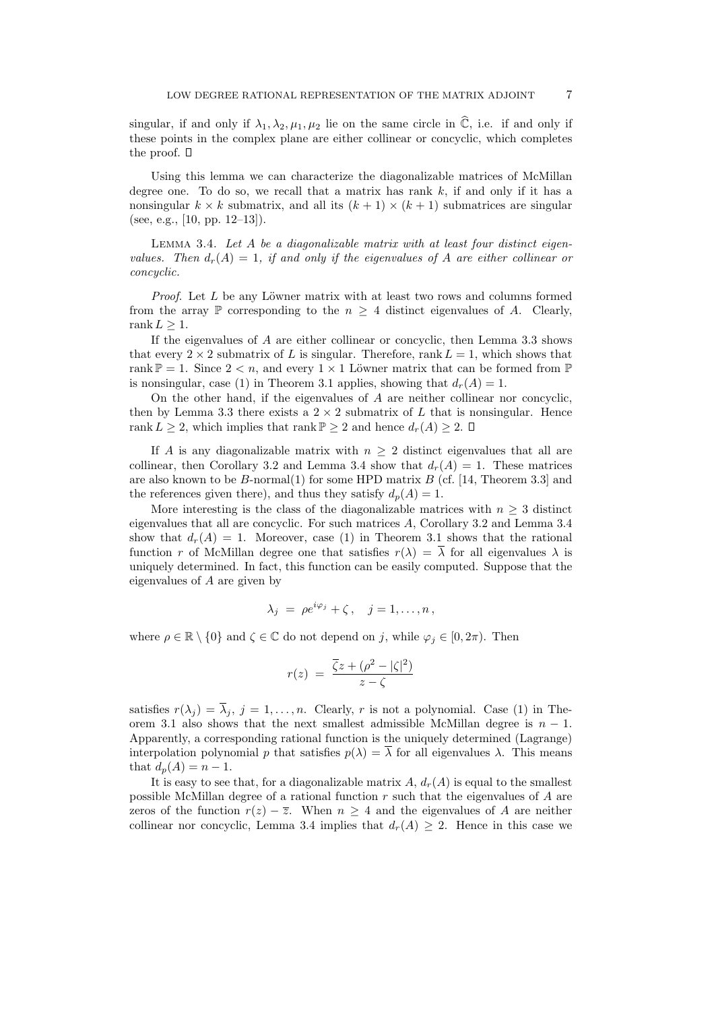singular, if and only if  $\lambda_1, \lambda_2, \mu_1, \mu_2$  lie on the same circle in  $\hat{\mathbb{C}}$ , i.e. if and only if these points in the complex plane are either collinear or concyclic, which completes the proof.  $\square$ 

Using this lemma we can characterize the diagonalizable matrices of McMillan degree one. To do so, we recall that a matrix has rank  $k$ , if and only if it has a nonsingular  $k \times k$  submatrix, and all its  $(k + 1) \times (k + 1)$  submatrices are singular (see, e.g., [10, pp. 12–13]).

LEMMA 3.4. Let  $A$  be a diagonalizable matrix with at least four distinct eigenvalues. Then  $d_r(A) = 1$ , if and only if the eigenvalues of A are either collinear or concyclic.

*Proof.* Let  $L$  be any Löwner matrix with at least two rows and columns formed from the array P corresponding to the  $n > 4$  distinct eigenvalues of A. Clearly, rank  $L \geq 1$ .

If the eigenvalues of A are either collinear or concyclic, then Lemma 3.3 shows that every  $2 \times 2$  submatrix of L is singular. Therefore, rank  $L = 1$ , which shows that rank  $\mathbb{P} = 1$ . Since  $2 < n$ , and every  $1 \times 1$  Löwner matrix that can be formed from  $\mathbb{P}$ is nonsingular, case (1) in Theorem 3.1 applies, showing that  $d_r(A) = 1$ .

On the other hand, if the eigenvalues of A are neither collinear nor concyclic, then by Lemma 3.3 there exists a  $2 \times 2$  submatrix of L that is nonsingular. Hence rank  $L \geq 2$ , which implies that rank  $\mathbb{P} \geq 2$  and hence  $d_r(A) \geq 2$ .  $\Box$ 

If A is any diagonalizable matrix with  $n \geq 2$  distinct eigenvalues that all are collinear, then Corollary 3.2 and Lemma 3.4 show that  $d_r(A) = 1$ . These matrices are also known to be  $B$ -normal(1) for some HPD matrix  $B$  (cf. [14, Theorem 3.3] and the references given there), and thus they satisfy  $d_p(A) = 1$ .

More interesting is the class of the diagonalizable matrices with  $n \geq 3$  distinct eigenvalues that all are concyclic. For such matrices A, Corollary 3.2 and Lemma 3.4 show that  $d_r(A) = 1$ . Moreover, case (1) in Theorem 3.1 shows that the rational function r of McMillan degree one that satisfies  $r(\lambda) = \overline{\lambda}$  for all eigenvalues  $\lambda$  is uniquely determined. In fact, this function can be easily computed. Suppose that the eigenvalues of A are given by

$$
\lambda_j = \rho e^{i\varphi_j} + \zeta, \quad j = 1, \dots, n,
$$

where  $\rho \in \mathbb{R} \setminus \{0\}$  and  $\zeta \in \mathbb{C}$  do not depend on j, while  $\varphi_i \in [0, 2\pi)$ . Then

$$
r(z) = \frac{\overline{\zeta}z + (\rho^2 - |\zeta|^2)}{z - \zeta}
$$

satisfies  $r(\lambda_j) = \overline{\lambda}_j$ ,  $j = 1, ..., n$ . Clearly, r is not a polynomial. Case (1) in Theorem 3.1 also shows that the next smallest admissible McMillan degree is  $n-1$ . Apparently, a corresponding rational function is the uniquely determined (Lagrange) interpolation polynomial p that satisfies  $p(\lambda) = \overline{\lambda}$  for all eigenvalues  $\lambda$ . This means that  $d_p(A) = n - 1$ .

It is easy to see that, for a diagonalizable matrix  $A, d_r(A)$  is equal to the smallest possible McMillan degree of a rational function r such that the eigenvalues of A are zeros of the function  $r(z) - \overline{z}$ . When  $n \geq 4$  and the eigenvalues of A are neither collinear nor concyclic, Lemma 3.4 implies that  $d_r(A) \geq 2$ . Hence in this case we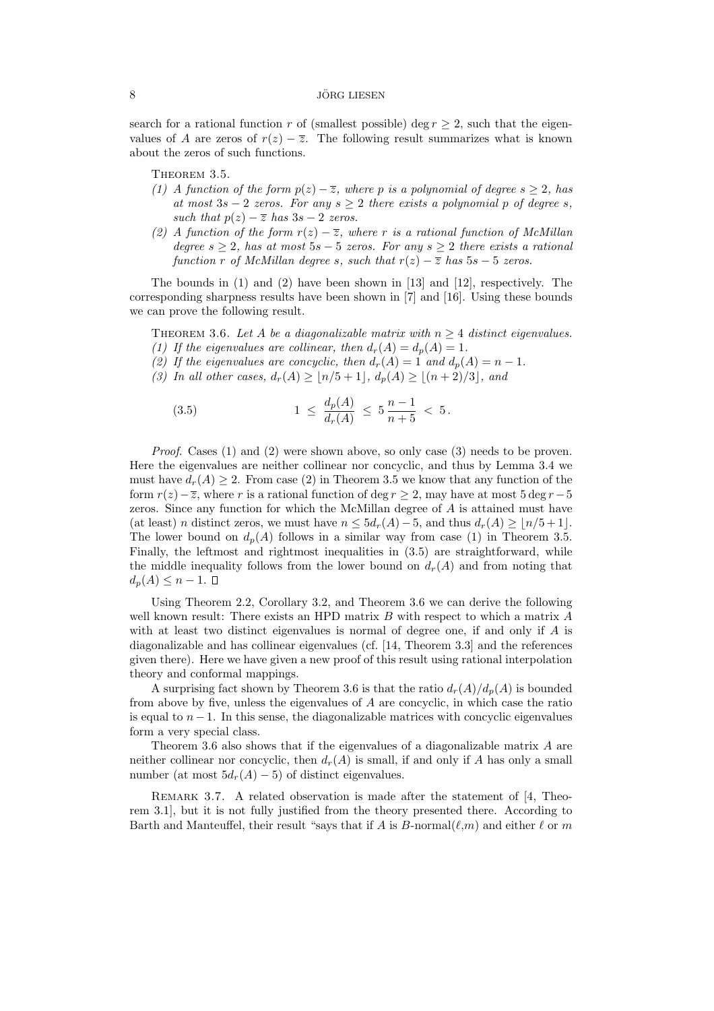# $\overline{\text{8}}$  JÖRG LIESEN

search for a rational function r of (smallest possible) deg  $r \geq 2$ , such that the eigenvalues of A are zeros of  $r(z) - \overline{z}$ . The following result summarizes what is known about the zeros of such functions.

THEOREM 3.5.

- (1) A function of the form  $p(z) \overline{z}$ , where p is a polynomial of degree  $s > 2$ , has at most  $3s - 2$  zeros. For any  $s \geq 2$  there exists a polynomial p of degree s, such that  $p(z) - \overline{z}$  has  $3s - 2$  zeros.
- (2) A function of the form  $r(z) \overline{z}$ , where r is a rational function of McMillan degree  $s \geq 2$ , has at most  $5s - 5$  zeros. For any  $s \geq 2$  there exists a rational function r of McMillan degree s, such that  $r(z) - \overline{z}$  has  $5s - 5$  zeros.

The bounds in (1) and (2) have been shown in [13] and [12], respectively. The corresponding sharpness results have been shown in [7] and [16]. Using these bounds we can prove the following result.

THEOREM 3.6. Let A be a diagonalizable matrix with  $n \geq 4$  distinct eigenvalues. (1) If the eigenvalues are collinear, then  $d_r(A) = d_p(A) = 1$ .

- (2) If the eigenvalues are concyclic, then  $d_r(A) = 1$  and  $d_p(A) = n 1$ .
- (3) In all other cases,  $d_r(A) \ge |n/5 + 1|, d_p(A) \ge |(n + 2)/3|$ , and

(3.5) 
$$
1 \leq \frac{d_p(A)}{d_r(A)} \leq 5 \frac{n-1}{n+5} < 5.
$$

Proof. Cases (1) and (2) were shown above, so only case (3) needs to be proven. Here the eigenvalues are neither collinear nor concyclic, and thus by Lemma 3.4 we must have  $d_r(A) \geq 2$ . From case (2) in Theorem 3.5 we know that any function of the form  $r(z)-\overline{z}$ , where r is a rational function of deg r ≥ 2, may have at most 5 deg r – 5 zeros. Since any function for which the McMillan degree of A is attained must have (at least) n distinct zeros, we must have  $n \leq 5d_r(A) - 5$ , and thus  $d_r(A) \geq \lfloor n/5 + 1 \rfloor$ . The lower bound on  $d_p(A)$  follows in a similar way from case (1) in Theorem 3.5. Finally, the leftmost and rightmost inequalities in  $(3.5)$  are straightforward, while the middle inequality follows from the lower bound on  $d_r(A)$  and from noting that  $d_p(A) \leq n-1.$ 

Using Theorem 2.2, Corollary 3.2, and Theorem 3.6 we can derive the following well known result: There exists an HPD matrix  $B$  with respect to which a matrix  $A$ with at least two distinct eigenvalues is normal of degree one, if and only if  $A$  is diagonalizable and has collinear eigenvalues (cf. [14, Theorem 3.3] and the references given there). Here we have given a new proof of this result using rational interpolation theory and conformal mappings.

A surprising fact shown by Theorem 3.6 is that the ratio  $d_r(A)/d_p(A)$  is bounded from above by five, unless the eigenvalues of A are concyclic, in which case the ratio is equal to  $n-1$ . In this sense, the diagonalizable matrices with concyclic eigenvalues form a very special class.

Theorem 3.6 also shows that if the eigenvalues of a diagonalizable matrix A are neither collinear nor concyclic, then  $d_r(A)$  is small, if and only if A has only a small number (at most  $5d_r(A) - 5$ ) of distinct eigenvalues.

REMARK 3.7. A related observation is made after the statement of [4, Theorem 3.1], but it is not fully justified from the theory presented there. According to Barth and Manteuffel, their result "says that if A is B-normal( $\ell,m$ ) and either  $\ell$  or m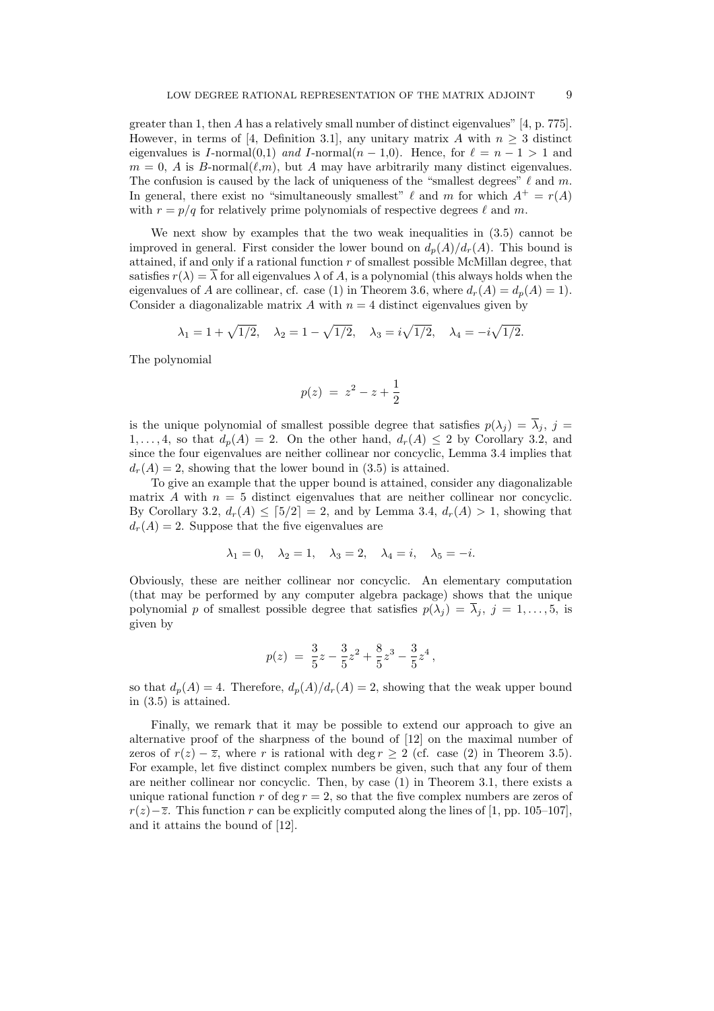greater than 1, then A has a relatively small number of distinct eigenvalues" [4, p. 775]. However, in terms of [4, Definition 3.1], any unitary matrix A with  $n \geq 3$  distinct eigenvalues is I-normal $(0,1)$  and I-normal $(n-1,0)$ . Hence, for  $\ell = n-1 > 1$  and  $m = 0$ , A is B-normal( $\ell,m$ ), but A may have arbitrarily many distinct eigenvalues. The confusion is caused by the lack of uniqueness of the "smallest degrees"  $\ell$  and m. In general, there exist no "simultaneously smallest"  $\ell$  and m for which  $A^+ = r(A)$ with  $r = p/q$  for relatively prime polynomials of respective degrees  $\ell$  and m.

We next show by examples that the two weak inequalities in  $(3.5)$  cannot be improved in general. First consider the lower bound on  $d_n(A)/d_r(A)$ . This bound is attained, if and only if a rational function  $r$  of smallest possible McMillan degree, that satisfies  $r(\lambda) = \overline{\lambda}$  for all eigenvalues  $\lambda$  of A, is a polynomial (this always holds when the eigenvalues of A are collinear, cf. case (1) in Theorem 3.6, where  $d_r(A) = d_p(A) = 1$ . Consider a diagonalizable matrix  $A$  with  $n = 4$  distinct eigenvalues given by

$$
\lambda_1 = 1 + \sqrt{1/2}, \quad \lambda_2 = 1 - \sqrt{1/2}, \quad \lambda_3 = i\sqrt{1/2}, \quad \lambda_4 = -i\sqrt{1/2}.
$$

The polynomial

$$
p(z) \ = \ z^2 - z + \frac{1}{2}
$$

is the unique polynomial of smallest possible degree that satisfies  $p(\lambda_i) = \overline{\lambda}_i$ ,  $j =$  $1, \ldots, 4$ , so that  $d_p(A) = 2$ . On the other hand,  $d_r(A) \leq 2$  by Corollary 3.2, and since the four eigenvalues are neither collinear nor concyclic, Lemma 3.4 implies that  $d_r(A) = 2$ , showing that the lower bound in (3.5) is attained.

To give an example that the upper bound is attained, consider any diagonalizable matrix A with  $n = 5$  distinct eigenvalues that are neither collinear nor concyclic. By Corollary 3.2,  $d_r(A) \leq [5/2] = 2$ , and by Lemma 3.4,  $d_r(A) > 1$ , showing that  $d_r(A) = 2$ . Suppose that the five eigenvalues are

$$
\lambda_1 = 0
$$
,  $\lambda_2 = 1$ ,  $\lambda_3 = 2$ ,  $\lambda_4 = i$ ,  $\lambda_5 = -i$ .

Obviously, these are neither collinear nor concyclic. An elementary computation (that may be performed by any computer algebra package) shows that the unique polynomial p of smallest possible degree that satisfies  $p(\lambda_j) = \overline{\lambda}_j$ ,  $j = 1, \ldots, 5$ , is given by

$$
p(z) = \frac{3}{5}z - \frac{3}{5}z^2 + \frac{8}{5}z^3 - \frac{3}{5}z^4,
$$

so that  $d_p(A) = 4$ . Therefore,  $d_p(A)/d_r(A) = 2$ , showing that the weak upper bound in (3.5) is attained.

Finally, we remark that it may be possible to extend our approach to give an alternative proof of the sharpness of the bound of [12] on the maximal number of zeros of  $r(z) - \overline{z}$ , where r is rational with deg r > 2 (cf. case (2) in Theorem 3.5). For example, let five distinct complex numbers be given, such that any four of them are neither collinear nor concyclic. Then, by case (1) in Theorem 3.1, there exists a unique rational function r of deg  $r = 2$ , so that the five complex numbers are zeros of  $r(z)-\overline{z}$ . This function r can be explicitly computed along the lines of [1, pp. 105–107], and it attains the bound of [12].